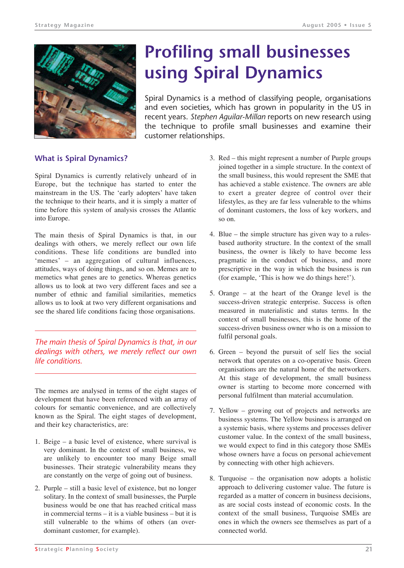

# **Profiling small businesses using Spiral Dynamics**

Spiral Dynamics is a method of classifying people, organisations and even societies, which has grown in popularity in the US in recent years. *Stephen Aguilar-Millan* reports on new research using the technique to profile small businesses and examine their customer relationships.

## **What is Spiral Dynamics?**

Spiral Dynamics is currently relatively unheard of in Europe, but the technique has started to enter the mainstream in the US. The 'early adopters' have taken the technique to their hearts, and it is simply a matter of time before this system of analysis crosses the Atlantic into Europe.

The main thesis of Spiral Dynamics is that, in our dealings with others, we merely reflect our own life conditions. These life conditions are bundled into 'memes' – an aggregation of cultural influences, attitudes, ways of doing things, and so on. Memes are to memetics what genes are to genetics. Whereas genetics allows us to look at two very different faces and see a number of ethnic and familial similarities, memetics allows us to look at two very different organisations and see the shared life conditions facing those organisations.

*The main thesis of Spiral Dynamics is that, in our dealings with others, we merely reflect our own life conditions.*

The memes are analysed in terms of the eight stages of development that have been referenced with an array of colours for semantic convenience, and are collectively known as the Spiral. The eight stages of development, and their key characteristics, are:

- 1. Beige a basic level of existence, where survival is very dominant. In the context of small business, we are unlikely to encounter too many Beige small businesses. Their strategic vulnerability means they are constantly on the verge of going out of business.
- 2. Purple still a basic level of existence, but no longer solitary. In the context of small businesses, the Purple business would be one that has reached critical mass in commercial terms – it is a viable business – but it is still vulnerable to the whims of others (an overdominant customer, for example).
- 3. Red this might represent a number of Purple groups joined together in a simple structure. In the context of the small business, this would represent the SME that has achieved a stable existence. The owners are able to exert a greater degree of control over their lifestyles, as they are far less vulnerable to the whims of dominant customers, the loss of key workers, and so on.
- 4. Blue the simple structure has given way to a rulesbased authority structure. In the context of the small business, the owner is likely to have become less pragmatic in the conduct of business, and more prescriptive in the way in which the business is run (for example, 'This is how we do things here!').
- 5. Orange at the heart of the Orange level is the success-driven strategic enterprise. Success is often measured in materialistic and status terms. In the context of small businesses, this is the home of the success-driven business owner who is on a mission to fulfil personal goals.
- 6. Green beyond the pursuit of self lies the social network that operates on a co-operative basis. Green organisations are the natural home of the networkers. At this stage of development, the small business owner is starting to become more concerned with personal fulfilment than material accumulation.
- 7. Yellow growing out of projects and networks are business systems. The Yellow business is arranged on a systemic basis, where systems and processes deliver customer value. In the context of the small business, we would expect to find in this category those SMEs whose owners have a focus on personal achievement by connecting with other high achievers.
- 8. Turquoise the organisation now adopts a holistic approach to delivering customer value. The future is regarded as a matter of concern in business decisions, as are social costs instead of economic costs. In the context of the small business, Turquoise SMEs are ones in which the owners see themselves as part of a connected world.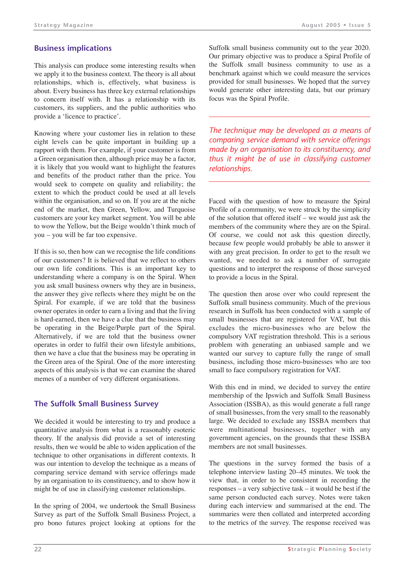# **Business implications**

This analysis can produce some interesting results when we apply it to the business context. The theory is all about relationships, which is, effectively, what business is about. Every business has three key external relationships to concern itself with. It has a relationship with its customers, its suppliers, and the public authorities who provide a 'licence to practice'.

Knowing where your customer lies in relation to these eight levels can be quite important in building up a rapport with them. For example, if your customer is from a Green organisation then, although price may be a factor, it is likely that you would want to highlight the features and benefits of the product rather than the price. You would seek to compete on quality and reliability; the extent to which the product could be used at all levels within the organisation, and so on. If you are at the niche end of the market, then Green, Yellow, and Turquoise customers are your key market segment. You will be able to wow the Yellow, but the Beige wouldn't think much of you – you will be far too expensive.

If this is so, then how can we recognise the life conditions of our customers? It is believed that we reflect to others our own life conditions. This is an important key to understanding where a company is on the Spiral. When you ask small business owners why they are in business, the answer they give reflects where they might be on the Spiral. For example, if we are told that the business owner operates in order to earn a living and that the living is hard-earned, then we have a clue that the business may be operating in the Beige/Purple part of the Spiral. Alternatively, if we are told that the business owner operates in order to fulfil their own lifestyle ambitions, then we have a clue that the business may be operating in the Green area of the Spiral. One of the more interesting aspects of this analysis is that we can examine the shared memes of a number of very different organisations.

## **The Suffolk Small Business Survey**

We decided it would be interesting to try and produce a quantitative analysis from what is a reasonably esoteric theory. If the analysis did provide a set of interesting results, then we would be able to widen application of the technique to other organisations in different contexts. It was our intention to develop the technique as a means of comparing service demand with service offerings made by an organisation to its constituency, and to show how it might be of use in classifying customer relationships.

In the spring of 2004, we undertook the Small Business Survey as part of the Suffolk Small Business Project, a pro bono futures project looking at options for the Suffolk small business community out to the year 2020. Our primary objective was to produce a Spiral Profile of the Suffolk small business community to use as a benchmark against which we could measure the services provided for small businesses. We hoped that the survey would generate other interesting data, but our primary focus was the Spiral Profile.

*The technique may be developed as a means of comparing service demand with service offerings made by an organisation to its constituency, and thus it might be of use in classifying customer relationships.*

Faced with the question of how to measure the Spiral Profile of a community, we were struck by the simplicity of the solution that offered itself – we would just ask the members of the community where they are on the Spiral. Of course, we could not ask this question directly, because few people would probably be able to answer it with any great precision. In order to get to the result we wanted, we needed to ask a number of surrogate questions and to interpret the response of those surveyed to provide a locus in the Spiral.

The question then arose over who could represent the Suffolk small business community. Much of the previous research in Suffolk has been conducted with a sample of small businesses that are registered for VAT, but this excludes the micro-businesses who are below the compulsory VAT registration threshold. This is a serious problem with generating an unbiased sample and we wanted our survey to capture fully the range of small business, including those micro-businesses who are too small to face compulsory registration for VAT.

With this end in mind, we decided to survey the entire membership of the Ipswich and Suffolk Small Business Association (ISSBA), as this would generate a full range of small businesses, from the very small to the reasonably large. We decided to exclude any ISSBA members that were multinational businesses, together with any government agencies, on the grounds that these ISSBA members are not small businesses.

The questions in the survey formed the basis of a telephone interview lasting 20–45 minutes. We took the view that, in order to be consistent in recording the responses – a very subjective task – it would be best if the same person conducted each survey. Notes were taken during each interview and summarised at the end. The summaries were then collated and interpreted according to the metrics of the survey. The response received was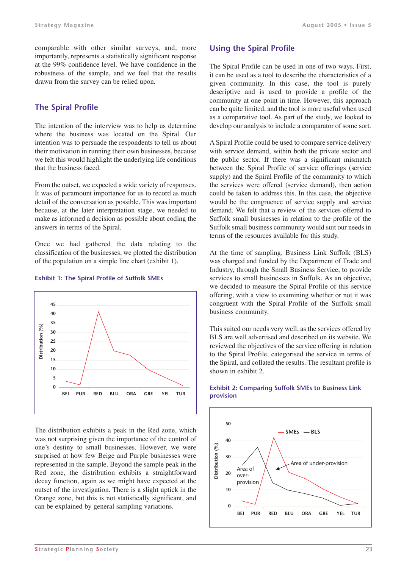comparable with other similar surveys, and, more importantly, represents a statistically significant response at the 99% confidence level. We have confidence in the robustness of the sample, and we feel that the results drawn from the survey can be relied upon.

# **The Spiral Profile**

The intention of the interview was to help us determine where the business was located on the Spiral. Our intention was to persuade the respondents to tell us about their motivation in running their own businesses, because we felt this would highlight the underlying life conditions that the business faced.

From the outset, we expected a wide variety of responses. It was of paramount importance for us to record as much detail of the conversation as possible. This was important because, at the later interpretation stage, we needed to make as informed a decision as possible about coding the answers in terms of the Spiral.

Once we had gathered the data relating to the classification of the businesses, we plotted the distribution of the population on a simple line chart (exhibit 1).



#### **Exhibit 1: The Spiral Profile of Suffolk SMEs**

The distribution exhibits a peak in the Red zone, which was not surprising given the importance of the control of one's destiny to small businesses. However, we were surprised at how few Beige and Purple businesses were represented in the sample. Beyond the sample peak in the Red zone, the distribution exhibits a straightforward decay function, again as we might have expected at the outset of the investigation. There is a slight uptick in the Orange zone, but this is not statistically significant, and can be explained by general sampling variations.

#### **Using the Spiral Profile**

The Spiral Profile can be used in one of two ways. First, it can be used as a tool to describe the characteristics of a given community. In this case, the tool is purely descriptive and is used to provide a profile of the community at one point in time. However, this approach can be quite limited, and the tool is more useful when used as a comparative tool. As part of the study, we looked to develop our analysis to include a comparator of some sort.

A Spiral Profile could be used to compare service delivery with service demand, within both the private sector and the public sector. If there was a significant mismatch between the Spiral Profile of service offerings (service supply) and the Spiral Profile of the community to which the services were offered (service demand), then action could be taken to address this. In this case, the objective would be the congruence of service supply and service demand. We felt that a review of the services offered to Suffolk small businesses in relation to the profile of the Suffolk small business community would suit our needs in terms of the resources available for this study.

At the time of sampling, Business Link Suffolk (BLS) was charged and funded by the Department of Trade and Industry, through the Small Business Service, to provide services to small businesses in Suffolk. As an objective, we decided to measure the Spiral Profile of this service offering, with a view to examining whether or not it was congruent with the Spiral Profile of the Suffolk small business community.

This suited our needs very well, as the services offered by BLS are well advertised and described on its website. We reviewed the objectives of the service offering in relation to the Spiral Profile, categorised the service in terms of the Spiral, and collated the results. The resultant profile is shown in exhibit 2.



#### **Exhibit 2: Comparing Suffolk SMEs to Business Link provision**